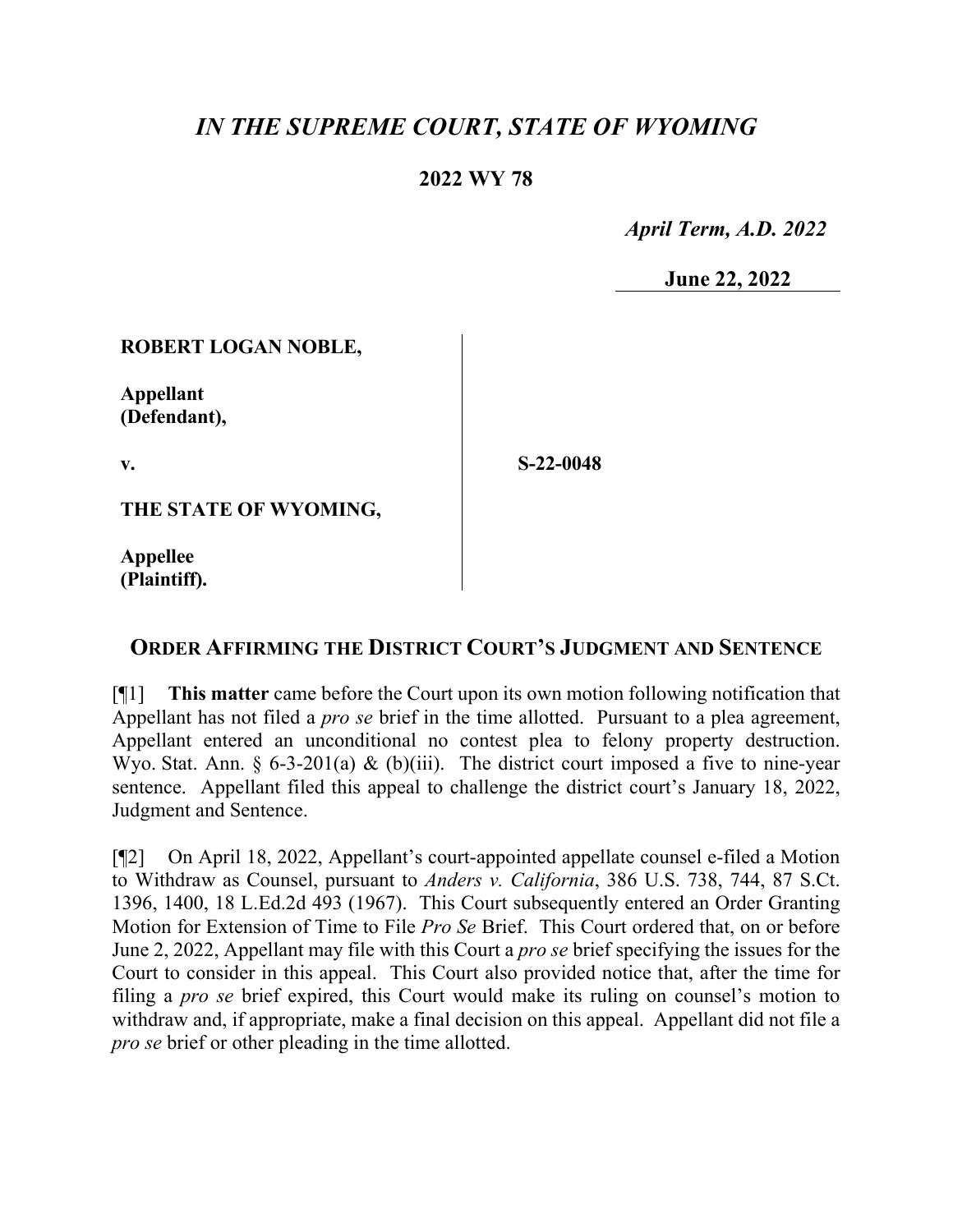# *IN THE SUPREME COURT, STATE OF WYOMING*

### **2022 WY 78**

 *April Term, A.D. 2022*

**June 22, 2022**

#### **ROBERT LOGAN NOBLE,**

**Appellant (Defendant),**

**v.**

**S-22-0048**

**THE STATE OF WYOMING,**

**Appellee (Plaintiff).**

## **ORDER AFFIRMING THE DISTRICT COURT'S JUDGMENT AND SENTENCE**

[¶1] **This matter** came before the Court upon its own motion following notification that Appellant has not filed a *pro se* brief in the time allotted. Pursuant to a plea agreement, Appellant entered an unconditional no contest plea to felony property destruction. Wyo. Stat. Ann.  $\delta$  6-3-201(a) & (b)(iii). The district court imposed a five to nine-year sentence. Appellant filed this appeal to challenge the district court's January 18, 2022, Judgment and Sentence.

[¶2] On April 18, 2022, Appellant's court-appointed appellate counsel e-filed a Motion to Withdraw as Counsel, pursuant to *Anders v. California*, 386 U.S. 738, 744, 87 S.Ct. 1396, 1400, 18 L.Ed.2d 493 (1967). This Court subsequently entered an Order Granting Motion for Extension of Time to File *Pro Se* Brief. This Court ordered that, on or before June 2, 2022, Appellant may file with this Court a *pro se* brief specifying the issues for the Court to consider in this appeal. This Court also provided notice that, after the time for filing a *pro se* brief expired, this Court would make its ruling on counsel's motion to withdraw and, if appropriate, make a final decision on this appeal. Appellant did not file a *pro se* brief or other pleading in the time allotted.